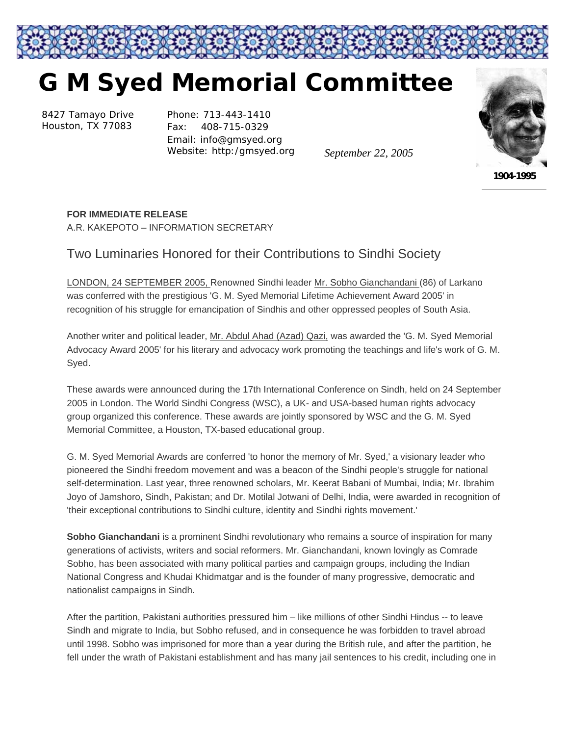

## **G M Syed Memorial Committee**

8427 Tamayo Drive Houston, TX 77083

Phone: 713-443-1410 Fax: 408-715-0329 Email: info@gmsyed.org Website: http:/gmsyed.org

*September 22, 2005* 



*1904-1995* 

## **FOR IMMEDIATE RELEASE**

A.R. KAKEPOTO – INFORMATION SECRETARY

## Two Luminaries Honored for their Contributions to Sindhi Society

LONDON, 24 SEPTEMBER 2005, Renowned Sindhi leader Mr. Sobho Gianchandani (86) of Larkano was conferred with the prestigious 'G. M. Syed Memorial Lifetime Achievement Award 2005' in recognition of his struggle for emancipation of Sindhis and other oppressed peoples of South Asia.

Another writer and political leader, Mr. Abdul Ahad (Azad) Qazi, was awarded the 'G. M. Syed Memorial Advocacy Award 2005' for his literary and advocacy work promoting the teachings and life's work of G. M. Syed.

These awards were announced during the 17th International Conference on Sindh, held on 24 September 2005 in London. The World Sindhi Congress (WSC), a UK- and USA-based human rights advocacy group organized this conference. These awards are jointly sponsored by WSC and the G. M. Syed Memorial Committee, a Houston, TX-based educational group.

G. M. Syed Memorial Awards are conferred 'to honor the memory of Mr. Syed,' a visionary leader who pioneered the Sindhi freedom movement and was a beacon of the Sindhi people's struggle for national self-determination. Last year, three renowned scholars, Mr. Keerat Babani of Mumbai, India; Mr. Ibrahim Joyo of Jamshoro, Sindh, Pakistan; and Dr. Motilal Jotwani of Delhi, India, were awarded in recognition of 'their exceptional contributions to Sindhi culture, identity and Sindhi rights movement.'

**Sobho Gianchandani** is a prominent Sindhi revolutionary who remains a source of inspiration for many generations of activists, writers and social reformers. Mr. Gianchandani, known lovingly as Comrade Sobho, has been associated with many political parties and campaign groups, including the Indian National Congress and Khudai Khidmatgar and is the founder of many progressive, democratic and nationalist campaigns in Sindh.

After the partition, Pakistani authorities pressured him – like millions of other Sindhi Hindus -- to leave Sindh and migrate to India, but Sobho refused, and in consequence he was forbidden to travel abroad until 1998. Sobho was imprisoned for more than a year during the British rule, and after the partition, he fell under the wrath of Pakistani establishment and has many jail sentences to his credit, including one in